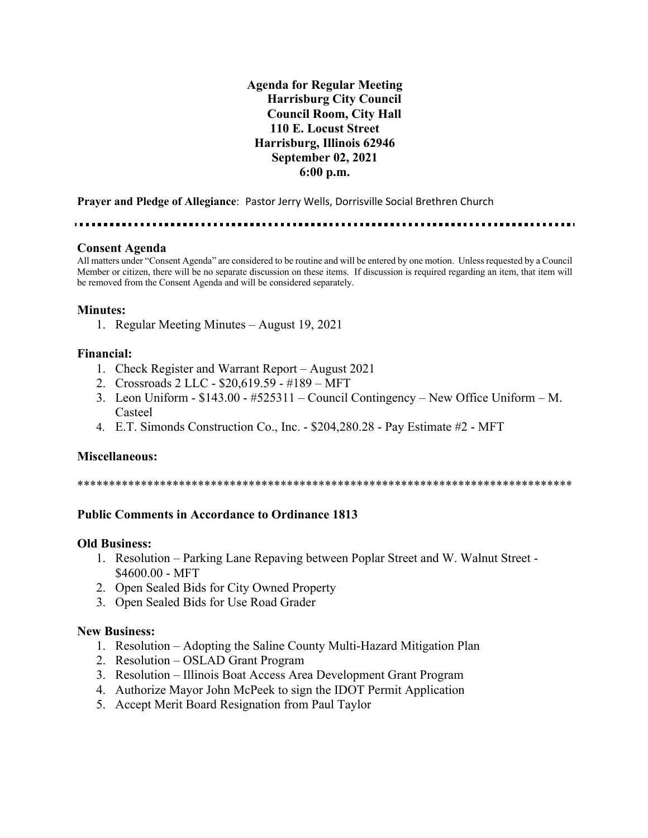**Agenda for Regular Meeting Harrisburg City Council Council Room, City Hall 110 E. Locust Street Harrisburg, Illinois 62946 September 02, 2021 6:00 p.m.**

**Prayer and Pledge of Allegiance**: Pastor Jerry Wells, Dorrisville Social Brethren Church

. . . . . . . . . . . . . . . . .

#### **Consent Agenda**

All matters under "Consent Agenda" are considered to be routine and will be entered by one motion. Unless requested by a Council Member or citizen, there will be no separate discussion on these items. If discussion is required regarding an item, that item will be removed from the Consent Agenda and will be considered separately.

#### **Minutes:**

1. Regular Meeting Minutes – August 19, 2021

### **Financial:**

- 1. Check Register and Warrant Report August 2021
- 2. Crossroads 2 LLC \$20,619.59 #189 MFT
- 3. Leon Uniform \$143.00 #525311 Council Contingency New Office Uniform M. Casteel
- 4. E.T. Simonds Construction Co., Inc. \$204,280.28 Pay Estimate #2 MFT

#### **Miscellaneous:**

\*\*\*\*\*\*\*\*\*\*\*\*\*\*\*\*\*\*\*\*\*\*\*\*\*\*\*\*\*\*\*\*\*\*\*\*\*\*\*\*\*\*\*\*\*\*\*\*\*\*\*\*\*\*\*\*\*\*\*\*\*\*\*\*\*\*\*\*\*\*\*\*\*\*\*\*\*\*

### **Public Comments in Accordance to Ordinance 1813**

#### **Old Business:**

- 1. Resolution Parking Lane Repaving between Poplar Street and W. Walnut Street \$4600.00 - MFT
- 2. Open Sealed Bids for City Owned Property
- 3. Open Sealed Bids for Use Road Grader

### **New Business:**

- 1. Resolution Adopting the Saline County Multi-Hazard Mitigation Plan
- 2. Resolution OSLAD Grant Program
- 3. Resolution Illinois Boat Access Area Development Grant Program
- 4. Authorize Mayor John McPeek to sign the IDOT Permit Application
- 5. Accept Merit Board Resignation from Paul Taylor